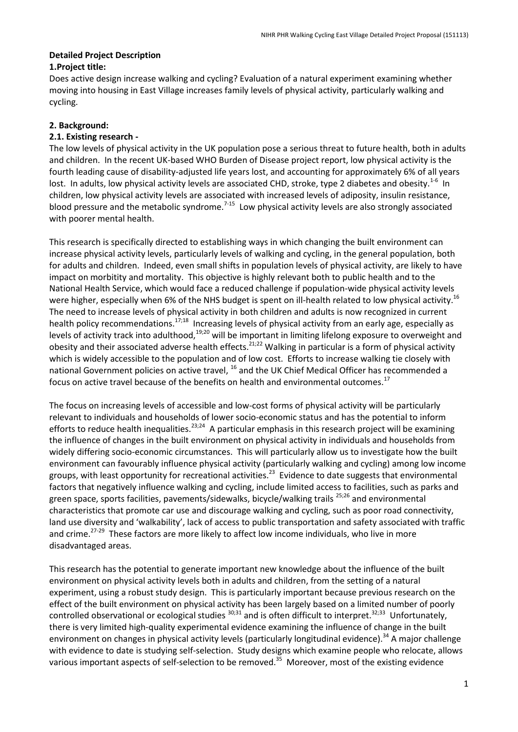# **Detailed Project Description**

# **1.Project title:**

Does active design increase walking and cycling? Evaluation of a natural experiment examining whether moving into housing in East Village increases family levels of physical activity, particularly walking and cycling.

# **2. Background:**

#### **2.1. Existing research -**

The low levels of physical activity in the UK population pose a serious threat to future health, both in adults and children. In the recent UK-based WHO Burden of Disease project report, low physical activity is the fourth leading cause of disability-adjusted life years lost, and accounting for approximately 6% of all years lost. In adults, low physical activity levels are associated CHD, stroke, type 2 diabetes and obesity.<sup>1-6</sup> In children, low physical activity levels are associated with increased levels of adiposity, insulin resistance, blood pressure and the metabolic syndrome.<sup>7-15</sup> Low physical activity levels are also strongly associated with poorer mental health.

This research is specifically directed to establishing ways in which changing the built environment can increase physical activity levels, particularly levels of walking and cycling, in the general population, both for adults and children. Indeed, even small shifts in population levels of physical activity, are likely to have impact on morbitity and mortality. This objective is highly relevant both to public health and to the National Health Service, which would face a reduced challenge if population-wide physical activity levels were higher, especially when 6% of the NHS budget is spent on ill-health related to low physical activity.<sup>16</sup> The need to increase levels of physical activity in both children and adults is now recognized in current health policy recommendations.<sup>17;18</sup> Increasing levels of physical activity from an early age, especially as levels of activity track into adulthood,<sup>19;20</sup> will be important in limiting lifelong exposure to overweight and obesity and their associated adverse health effects.<sup>21;22</sup> Walking in particular is a form of physical activity which is widely accessible to the population and of low cost. Efforts to increase walking tie closely with national Government policies on active travel, <sup>16</sup> and the UK Chief Medical Officer has recommended a focus on active travel because of the benefits on health and environmental outcomes.<sup>17</sup>

The focus on increasing levels of accessible and low-cost forms of physical activity will be particularly relevant to individuals and households of lower socio-economic status and has the potential to inform efforts to reduce health inequalities.<sup>23;24</sup> A particular emphasis in this research project will be examining the influence of changes in the built environment on physical activity in individuals and households from widely differing socio-economic circumstances. This will particularly allow us to investigate how the built environment can favourably influence physical activity (particularly walking and cycling) among low income groups, with least opportunity for recreational activities.<sup>23</sup> Evidence to date suggests that environmental factors that negatively influence walking and cycling, include limited access to facilities, such as parks and green space, sports facilities, pavements/sidewalks, bicycle/walking trails <sup>25,26</sup> and environmental characteristics that promote car use and discourage walking and cycling, such as poor road connectivity, land use diversity and 'walkability', lack of access to public transportation and safety associated with traffic and crime.<sup>27-29</sup> These factors are more likely to affect low income individuals, who live in more disadvantaged areas.

This research has the potential to generate important new knowledge about the influence of the built environment on physical activity levels both in adults and children, from the setting of a natural experiment, using a robust study design. This is particularly important because previous research on the effect of the built environment on physical activity has been largely based on a limited number of poorly controlled observational or ecological studies <sup>30;31</sup> and is often difficult to interpret.<sup>32;33</sup> Unfortunately, there is very limited high-quality experimental evidence examining the influence of change in the built environment on changes in physical activity levels (particularly longitudinal evidence).<sup>34</sup> A major challenge with evidence to date is studying self-selection. Study designs which examine people who relocate, allows various important aspects of self-selection to be removed.<sup>35</sup> Moreover, most of the existing evidence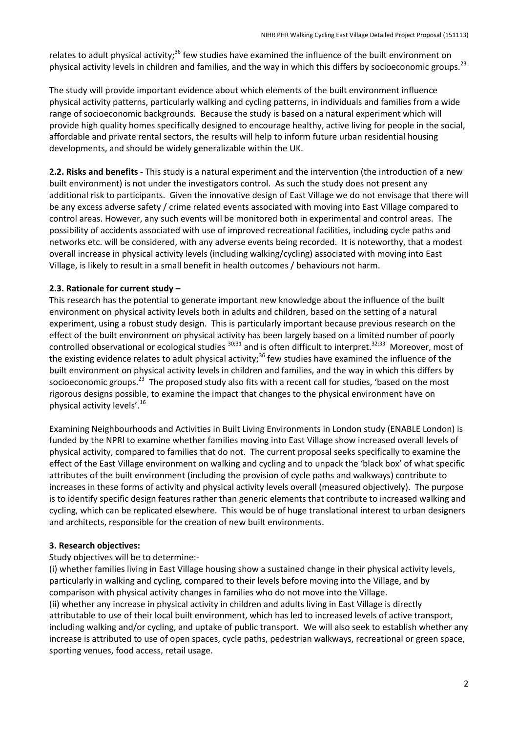relates to adult physical activity;<sup>36</sup> few studies have examined the influence of the built environment on physical activity levels in children and families, and the way in which this differs by socioeconomic groups.<sup>23</sup>

The study will provide important evidence about which elements of the built environment influence physical activity patterns, particularly walking and cycling patterns, in individuals and families from a wide range of socioeconomic backgrounds. Because the study is based on a natural experiment which will provide high quality homes specifically designed to encourage healthy, active living for people in the social, affordable and private rental sectors, the results will help to inform future urban residential housing developments, and should be widely generalizable within the UK.

**2.2. Risks and benefits -** This study is a natural experiment and the intervention (the introduction of a new built environment) is not under the investigators control. As such the study does not present any additional risk to participants. Given the innovative design of East Village we do not envisage that there will be any excess adverse safety / crime related events associated with moving into East Village compared to control areas. However, any such events will be monitored both in experimental and control areas. The possibility of accidents associated with use of improved recreational facilities, including cycle paths and networks etc. will be considered, with any adverse events being recorded. It is noteworthy, that a modest overall increase in physical activity levels (including walking/cycling) associated with moving into East Village, is likely to result in a small benefit in health outcomes / behaviours not harm.

#### **2.3. Rationale for current study –**

This research has the potential to generate important new knowledge about the influence of the built environment on physical activity levels both in adults and children, based on the setting of a natural experiment, using a robust study design. This is particularly important because previous research on the effect of the built environment on physical activity has been largely based on a limited number of poorly controlled observational or ecological studies <sup>30;31</sup> and is often difficult to interpret.<sup>32;33</sup> Moreover, most of the existing evidence relates to adult physical activity;<sup>36</sup> few studies have examined the influence of the built environment on physical activity levels in children and families, and the way in which this differs by socioeconomic groups.<sup>23</sup> The proposed study also fits with a recent call for studies, 'based on the most rigorous designs possible, to examine the impact that changes to the physical environment have on physical activity levels'.<sup>16</sup>

Examining Neighbourhoods and Activities in Built Living Environments in London study (ENABLE London) is funded by the NPRI to examine whether families moving into East Village show increased overall levels of physical activity, compared to families that do not. The current proposal seeks specifically to examine the effect of the East Village environment on walking and cycling and to unpack the 'black box' of what specific attributes of the built environment (including the provision of cycle paths and walkways) contribute to increases in these forms of activity and physical activity levels overall (measured objectively). The purpose is to identify specific design features rather than generic elements that contribute to increased walking and cycling, which can be replicated elsewhere. This would be of huge translational interest to urban designers and architects, responsible for the creation of new built environments.

#### **3. Research objectives:**

#### Study objectives will be to determine:-

(i) whether families living in East Village housing show a sustained change in their physical activity levels, particularly in walking and cycling, compared to their levels before moving into the Village, and by comparison with physical activity changes in families who do not move into the Village. (ii) whether any increase in physical activity in children and adults living in East Village is directly attributable to use of their local built environment, which has led to increased levels of active transport, including walking and/or cycling, and uptake of public transport. We will also seek to establish whether any increase is attributed to use of open spaces, cycle paths, pedestrian walkways, recreational or green space, sporting venues, food access, retail usage.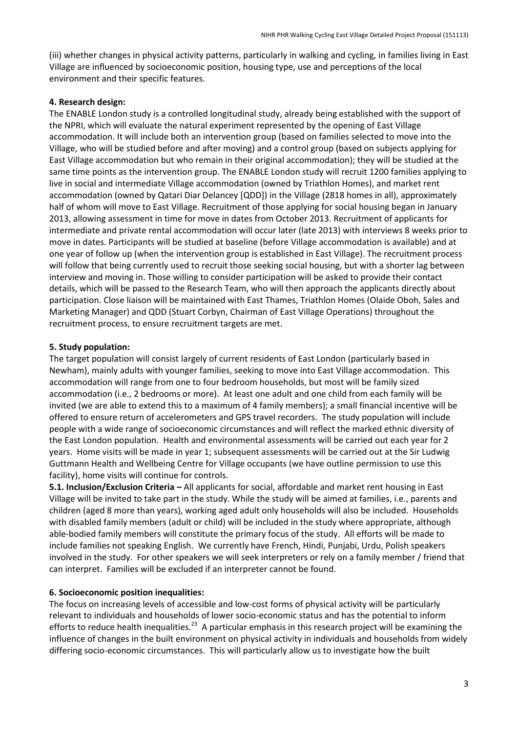(iii) whether changes in physical activity patterns, particularly in walking and cycling, in families living in East Village are influenced by socioeconomic position, housing type, use and perceptions of the local environment and their specific features.

#### **4. Research design:**

The ENABLE London study is a controlled longitudinal study, already being established with the support of the NPRI, which will evaluate the natural experiment represented by the opening of East Village accommodation. It will include both an intervention group (based on families selected to move into the Village, who will be studied before and after moving) and a control group (based on subjects applying for East Village accommodation but who remain in their original accommodation); they will be studied at the same time points as the intervention group. The ENABLE London study will recruit 1200 families applying to live in social and intermediate Village accommodation (owned by Triathlon Homes), and market rent accommodation (owned by Qatari Diar Delancey [QDD]) in the Village (2818 homes in all), approximately half of whom will move to East Village. Recruitment of those applying for social housing began in January 2013, allowing assessment in time for move in dates from October 2013. Recruitment of applicants for intermediate and private rental accommodation will occur later (late 2013) with interviews 8 weeks prior to move in dates. Participants will be studied at baseline (before Village accommodation is available) and at one year of follow up (when the intervention group is established in East Village). The recruitment process will follow that being currently used to recruit those seeking social housing, but with a shorter lag between interview and moving in. Those willing to consider participation will be asked to provide their contact details, which will be passed to the Research Team, who will then approach the applicants directly about participation. Close liaison will be maintained with East Thames, Triathlon Homes (Olaide Oboh, Sales and Marketing Manager) and QDD (Stuart Corbyn, Chairman of East Village Operations) throughout the recruitment process, to ensure recruitment targets are met.

#### **5. Study population:**

The target population will consist largely of current residents of East London (particularly based in Newham), mainly adults with younger families, seeking to move into East Village accommodation. This accommodation will range from one to four bedroom households, but most will be family sized accommodation (i.e., 2 bedrooms or more). At least one adult and one child from each family will be invited (we are able to extend this to a maximum of 4 family members); a small financial incentive will be offered to ensure return of accelerometers and GPS travel recorders. The study population will include people with a wide range of socioeconomic circumstances and will reflect the marked ethnic diversity of the East London population. Health and environmental assessments will be carried out each year for 2 years. Home visits will be made in year 1; subsequent assessments will be carried out at the Sir Ludwig Guttmann Health and Wellbeing Centre for Village occupants (we have outline permission to use this facility), home visits will continue for controls.

**5.1. Inclusion/Exclusion Criteria –** All applicants for social, affordable and market rent housing in East Village will be invited to take part in the study. While the study will be aimed at families, i.e., parents and children (aged 8 more than years), working aged adult only households will also be included. Households with disabled family members (adult or child) will be included in the study where appropriate, although able-bodied family members will constitute the primary focus of the study. All efforts will be made to include families not speaking English. We currently have French, Hindi, Punjabi, Urdu, Polish speakers involved in the study. For other speakers we will seek interpreters or rely on a family member / friend that can interpret. Families will be excluded if an interpreter cannot be found.

#### **6. Socioeconomic position inequalities:**

The focus on increasing levels of accessible and low-cost forms of physical activity will be particularly relevant to individuals and households of lower socio-economic status and has the potential to inform efforts to reduce health inequalities.<sup>23</sup> A particular emphasis in this research project will be examining the influence of changes in the built environment on physical activity in individuals and households from widely differing socio-economic circumstances. This will particularly allow us to investigate how the built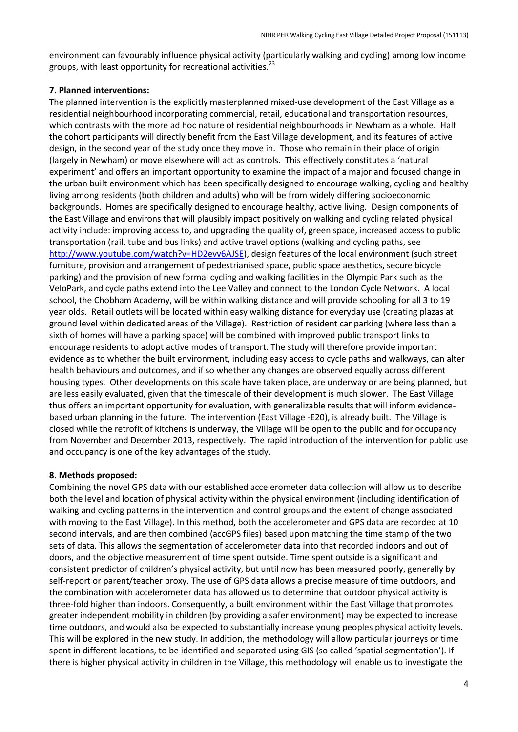environment can favourably influence physical activity (particularly walking and cycling) among low income groups, with least opportunity for recreational activities.<sup>23</sup>

#### **7. Planned interventions:**

The planned intervention is the explicitly masterplanned mixed-use development of the East Village as a residential neighbourhood incorporating commercial, retail, educational and transportation resources, which contrasts with the more ad hoc nature of residential neighbourhoods in Newham as a whole. Half the cohort participants will directly benefit from the East Village development, and its features of active design, in the second year of the study once they move in. Those who remain in their place of origin (largely in Newham) or move elsewhere will act as controls. This effectively constitutes a 'natural experiment' and offers an important opportunity to examine the impact of a major and focused change in the urban built environment which has been specifically designed to encourage walking, cycling and healthy living among residents (both children and adults) who will be from widely differing socioeconomic backgrounds. Homes are specifically designed to encourage healthy, active living. Design components of the East Village and environs that will plausibly impact positively on walking and cycling related physical activity include: improving access to, and upgrading the quality of, green space, increased access to public transportation (rail, tube and bus links) and active travel options (walking and cycling paths, see [http://www.youtube.com/watch?v=HD2evv6AJSE\)](http://www.youtube.com/watch?v=HD2evv6AJSE), design features of the local environment (such street furniture, provision and arrangement of pedestrianised space, public space aesthetics, secure bicycle parking) and the provision of new formal cycling and walking facilities in the Olympic Park such as the VeloPark, and cycle paths extend into the Lee Valley and connect to the London Cycle Network. A local school, the Chobham Academy, will be within walking distance and will provide schooling for all 3 to 19 year olds. Retail outlets will be located within easy walking distance for everyday use (creating plazas at ground level within dedicated areas of the Village). Restriction of resident car parking (where less than a sixth of homes will have a parking space) will be combined with improved public transport links to encourage residents to adopt active modes of transport. The study will therefore provide important evidence as to whether the built environment, including easy access to cycle paths and walkways, can alter health behaviours and outcomes, and if so whether any changes are observed equally across different housing types. Other developments on this scale have taken place, are underway or are being planned, but are less easily evaluated, given that the timescale of their development is much slower. The East Village thus offers an important opportunity for evaluation, with generalizable results that will inform evidencebased urban planning in the future. The intervention (East Village -E20), is already built. The Village is closed while the retrofit of kitchens is underway, the Village will be open to the public and for occupancy from November and December 2013, respectively. The rapid introduction of the intervention for public use and occupancy is one of the key advantages of the study.

#### **8. Methods proposed:**

Combining the novel GPS data with our established accelerometer data collection will allow us to describe both the level and location of physical activity within the physical environment (including identification of walking and cycling patterns in the intervention and control groups and the extent of change associated with moving to the East Village). In this method, both the accelerometer and GPS data are recorded at 10 second intervals, and are then combined (accGPS files) based upon matching the time stamp of the two sets of data. This allows the segmentation of accelerometer data into that recorded indoors and out of doors, and the objective measurement of time spent outside. Time spent outside is a significant and consistent predictor of children's physical activity, but until now has been measured poorly, generally by self-report or parent/teacher proxy. The use of GPS data allows a precise measure of time outdoors, and the combination with accelerometer data has allowed us to determine that outdoor physical activity is three-fold higher than indoors. Consequently, a built environment within the East Village that promotes greater independent mobility in children (by providing a safer environment) may be expected to increase time outdoors, and would also be expected to substantially increase young peoples physical activity levels. This will be explored in the new study. In addition, the methodology will allow particular journeys or time spent in different locations, to be identified and separated using GIS (so called 'spatial segmentation'). If there is higher physical activity in children in the Village, this methodology will enable us to investigate the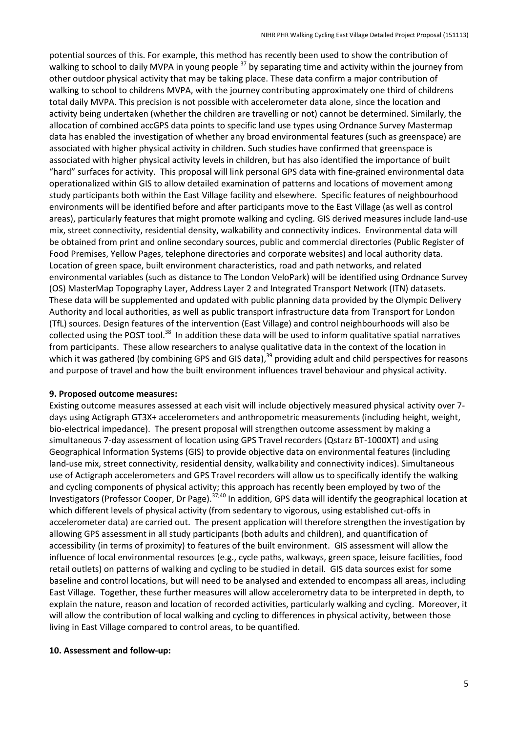potential sources of this. For example, this method has recently been used to show the contribution of walking to school to daily MVPA in young people <sup>37</sup> by separating time and activity within the journey from other outdoor physical activity that may be taking place. These data confirm a major contribution of walking to school to childrens MVPA, with the journey contributing approximately one third of childrens total daily MVPA. This precision is not possible with accelerometer data alone, since the location and activity being undertaken (whether the children are travelling or not) cannot be determined. Similarly, the allocation of combined accGPS data points to specific land use types using Ordnance Survey Mastermap data has enabled the investigation of whether any broad environmental features (such as greenspace) are associated with higher physical activity in children. Such studies have confirmed that greenspace is associated with higher physical activity levels in children, but has also identified the importance of built "hard" surfaces for activity. This proposal will link personal GPS data with fine-grained environmental data operationalized within GIS to allow detailed examination of patterns and locations of movement among study participants both within the East Village facility and elsewhere. Specific features of neighbourhood environments will be identified before and after participants move to the East Village (as well as control areas), particularly features that might promote walking and cycling. GIS derived measures include land-use mix, street connectivity, residential density, walkability and connectivity indices. Environmental data will be obtained from print and online secondary sources, public and commercial directories (Public Register of Food Premises, Yellow Pages, telephone directories and corporate websites) and local authority data. Location of green space, built environment characteristics, road and path networks, and related environmental variables (such as distance to The London VeloPark) will be identified using Ordnance Survey (OS) MasterMap Topography Layer, Address Layer 2 and Integrated Transport Network (ITN) datasets. These data will be supplemented and updated with public planning data provided by the Olympic Delivery Authority and local authorities, as well as public transport infrastructure data from Transport for London (TfL) sources. Design features of the intervention (East Village) and control neighbourhoods will also be collected using the POST tool.<sup>38</sup> In addition these data will be used to inform qualitative spatial narratives from participants. These allow researchers to analyse qualitative data in the context of the location in which it was gathered (by combining GPS and GIS data),<sup>39</sup> providing adult and child perspectives for reasons and purpose of travel and how the built environment influences travel behaviour and physical activity.

#### **9. Proposed outcome measures:**

Existing outcome measures assessed at each visit will include objectively measured physical activity over 7 days using Actigraph GT3X+ accelerometers and anthropometric measurements (including height, weight, bio-electrical impedance). The present proposal will strengthen outcome assessment by making a simultaneous 7-day assessment of location using GPS Travel recorders (Qstarz BT-1000XT) and using Geographical Information Systems (GIS) to provide objective data on environmental features (including land-use mix, street connectivity, residential density, walkability and connectivity indices). Simultaneous use of Actigraph accelerometers and GPS Travel recorders will allow us to specifically identify the walking and cycling components of physical activity; this approach has recently been employed by two of the Investigators (Professor Cooper, Dr Page).<sup>37;40</sup> In addition, GPS data will identify the geographical location at which different levels of physical activity (from sedentary to vigorous, using established cut-offs in accelerometer data) are carried out. The present application will therefore strengthen the investigation by allowing GPS assessment in all study participants (both adults and children), and quantification of accessibility (in terms of proximity) to features of the built environment. GIS assessment will allow the influence of local environmental resources (e.g., cycle paths, walkways, green space, leisure facilities, food retail outlets) on patterns of walking and cycling to be studied in detail. GIS data sources exist for some baseline and control locations, but will need to be analysed and extended to encompass all areas, including East Village. Together, these further measures will allow accelerometry data to be interpreted in depth, to explain the nature, reason and location of recorded activities, particularly walking and cycling. Moreover, it will allow the contribution of local walking and cycling to differences in physical activity, between those living in East Village compared to control areas, to be quantified.

#### **10. Assessment and follow-up:**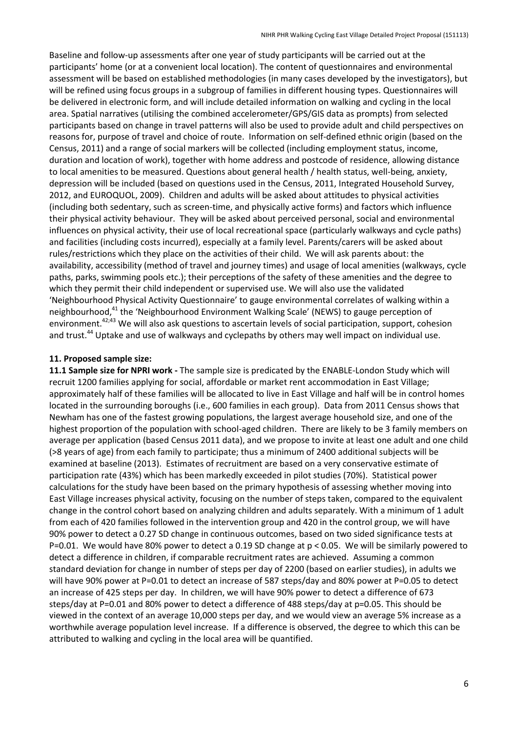Baseline and follow-up assessments after one year of study participants will be carried out at the participants' home (or at a convenient local location). The content of questionnaires and environmental assessment will be based on established methodologies (in many cases developed by the investigators), but will be refined using focus groups in a subgroup of families in different housing types. Questionnaires will be delivered in electronic form, and will include detailed information on walking and cycling in the local area. Spatial narratives (utilising the combined accelerometer/GPS/GIS data as prompts) from selected participants based on change in travel patterns will also be used to provide adult and child perspectives on reasons for, purpose of travel and choice of route. Information on self-defined ethnic origin (based on the Census, 2011) and a range of social markers will be collected (including employment status, income, duration and location of work), together with home address and postcode of residence, allowing distance to local amenities to be measured. Questions about general health / health status, well-being, anxiety, depression will be included (based on questions used in the Census, 2011, Integrated Household Survey, 2012, and EUROQUOL, 2009). Children and adults will be asked about attitudes to physical activities (including both sedentary, such as screen-time, and physically active forms) and factors which influence their physical activity behaviour. They will be asked about perceived personal, social and environmental influences on physical activity, their use of local recreational space (particularly walkways and cycle paths) and facilities (including costs incurred), especially at a family level. Parents/carers will be asked about rules/restrictions which they place on the activities of their child. We will ask parents about: the availability, accessibility (method of travel and journey times) and usage of local amenities (walkways, cycle paths, parks, swimming pools etc.); their perceptions of the safety of these amenities and the degree to which they permit their child independent or supervised use. We will also use the validated 'Neighbourhood Physical Activity Questionnaire' to gauge environmental correlates of walking within a neighbourhood,<sup>41</sup> the 'Neighbourhood Environment Walking Scale' (NEWS) to gauge perception of environment.<sup>42;43</sup> We will also ask questions to ascertain levels of social participation, support, cohesion and trust.<sup>44</sup> Uptake and use of walkways and cyclepaths by others may well impact on individual use.

#### **11. Proposed sample size:**

**11.1 Sample size for NPRI work -** The sample size is predicated by the ENABLE-London Study which will recruit 1200 families applying for social, affordable or market rent accommodation in East Village; approximately half of these families will be allocated to live in East Village and half will be in control homes located in the surrounding boroughs (i.e., 600 families in each group). Data from 2011 Census shows that Newham has one of the fastest growing populations, the largest average household size, and one of the highest proportion of the population with school-aged children. There are likely to be 3 family members on average per application (based Census 2011 data), and we propose to invite at least one adult and one child (>8 years of age) from each family to participate; thus a minimum of 2400 additional subjects will be examined at baseline (2013). Estimates of recruitment are based on a very conservative estimate of participation rate (43%) which has been markedly exceeded in pilot studies (70%). Statistical power calculations for the study have been based on the primary hypothesis of assessing whether moving into East Village increases physical activity, focusing on the number of steps taken, compared to the equivalent change in the control cohort based on analyzing children and adults separately. With a minimum of 1 adult from each of 420 families followed in the intervention group and 420 in the control group, we will have 90% power to detect a 0.27 SD change in continuous outcomes, based on two sided significance tests at P=0.01. We would have 80% power to detect a 0.19 SD change at p < 0.05. We will be similarly powered to detect a difference in children, if comparable recruitment rates are achieved. Assuming a common standard deviation for change in number of steps per day of 2200 (based on earlier studies), in adults we will have 90% power at P=0.01 to detect an increase of 587 steps/day and 80% power at P=0.05 to detect an increase of 425 steps per day. In children, we will have 90% power to detect a difference of 673 steps/day at P=0.01 and 80% power to detect a difference of 488 steps/day at p=0.05. This should be viewed in the context of an average 10,000 steps per day, and we would view an average 5% increase as a worthwhile average population level increase. If a difference is observed, the degree to which this can be attributed to walking and cycling in the local area will be quantified.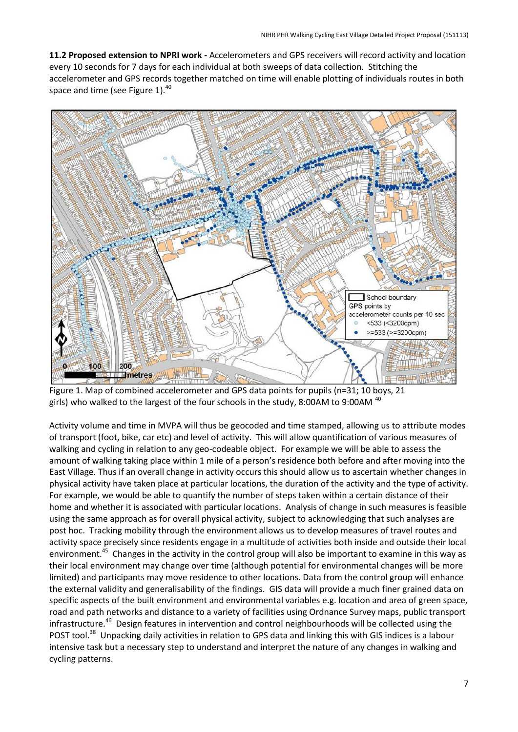**11.2 Proposed extension to NPRI work -** Accelerometers and GPS receivers will record activity and location every 10 seconds for 7 days for each individual at both sweeps of data collection. Stitching the accelerometer and GPS records together matched on time will enable plotting of individuals routes in both space and time (see Figure 1). $40$ 



Figure 1. Map of combined accelerometer and GPS data points for pupils (n=31; 10 boys, 21 girls) who walked to the largest of the four schools in the study, 8:00AM to 9:00AM <sup>40</sup>

Activity volume and time in MVPA will thus be geocoded and time stamped, allowing us to attribute modes of transport (foot, bike, car etc) and level of activity. This will allow quantification of various measures of walking and cycling in relation to any geo-codeable object. For example we will be able to assess the amount of walking taking place within 1 mile of a person's residence both before and after moving into the East Village. Thus if an overall change in activity occurs this should allow us to ascertain whether changes in physical activity have taken place at particular locations, the duration of the activity and the type of activity. For example, we would be able to quantify the number of steps taken within a certain distance of their home and whether it is associated with particular locations. Analysis of change in such measures is feasible using the same approach as for overall physical activity, subject to acknowledging that such analyses are post hoc. Tracking mobility through the environment allows us to develop measures of travel routes and activity space precisely since residents engage in a multitude of activities both inside and outside their local environment.<sup>45</sup> Changes in the activity in the control group will also be important to examine in this way as their local environment may change over time (although potential for environmental changes will be more limited) and participants may move residence to other locations. Data from the control group will enhance the external validity and generalisability of the findings. GIS data will provide a much finer grained data on specific aspects of the built environment and environmental variables e.g. location and area of green space, road and path networks and distance to a variety of facilities using Ordnance Survey maps, public transport infrastructure.<sup>46</sup> Design features in intervention and control neighbourhoods will be collected using the POST tool.<sup>38</sup> Unpacking daily activities in relation to GPS data and linking this with GIS indices is a labour intensive task but a necessary step to understand and interpret the nature of any changes in walking and cycling patterns.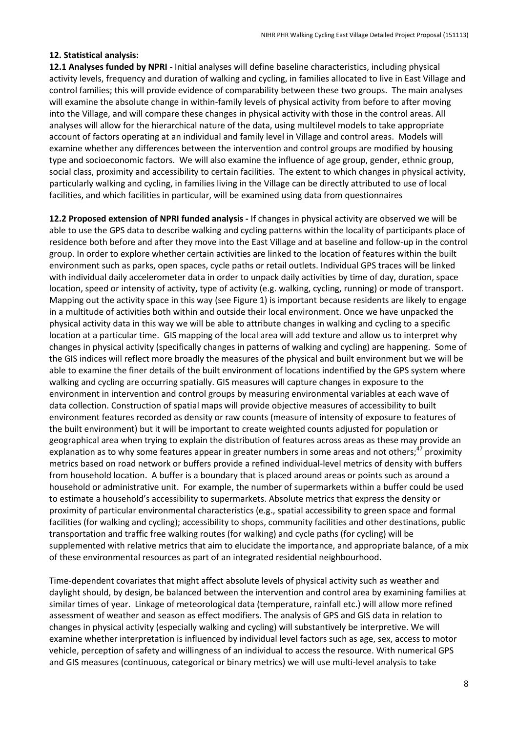#### **12. Statistical analysis:**

**12.1 Analyses funded by NPRI -** Initial analyses will define baseline characteristics, including physical activity levels, frequency and duration of walking and cycling, in families allocated to live in East Village and control families; this will provide evidence of comparability between these two groups. The main analyses will examine the absolute change in within-family levels of physical activity from before to after moving into the Village, and will compare these changes in physical activity with those in the control areas. All analyses will allow for the hierarchical nature of the data, using multilevel models to take appropriate account of factors operating at an individual and family level in Village and control areas. Models will examine whether any differences between the intervention and control groups are modified by housing type and socioeconomic factors. We will also examine the influence of age group, gender, ethnic group, social class, proximity and accessibility to certain facilities. The extent to which changes in physical activity, particularly walking and cycling, in families living in the Village can be directly attributed to use of local facilities, and which facilities in particular, will be examined using data from questionnaires

**12.2 Proposed extension of NPRI funded analysis -** If changes in physical activity are observed we will be able to use the GPS data to describe walking and cycling patterns within the locality of participants place of residence both before and after they move into the East Village and at baseline and follow-up in the control group. In order to explore whether certain activities are linked to the location of features within the built environment such as parks, open spaces, cycle paths or retail outlets. Individual GPS traces will be linked with individual daily accelerometer data in order to unpack daily activities by time of day, duration, space location, speed or intensity of activity, type of activity (e.g. walking, cycling, running) or mode of transport. Mapping out the activity space in this way (see Figure 1) is important because residents are likely to engage in a multitude of activities both within and outside their local environment. Once we have unpacked the physical activity data in this way we will be able to attribute changes in walking and cycling to a specific location at a particular time. GIS mapping of the local area will add texture and allow us to interpret why changes in physical activity (specifically changes in patterns of walking and cycling) are happening. Some of the GIS indices will reflect more broadly the measures of the physical and built environment but we will be able to examine the finer details of the built environment of locations indentified by the GPS system where walking and cycling are occurring spatially. GIS measures will capture changes in exposure to the environment in intervention and control groups by measuring environmental variables at each wave of data collection. Construction of spatial maps will provide objective measures of accessibility to built environment features recorded as density or raw counts (measure of intensity of exposure to features of the built environment) but it will be important to create weighted counts adjusted for population or geographical area when trying to explain the distribution of features across areas as these may provide an explanation as to why some features appear in greater numbers in some areas and not others;<sup>47</sup> proximity metrics based on road network or buffers provide a refined individual-level metrics of density with buffers from household location. A buffer is a boundary that is placed around areas or points such as around a household or administrative unit. For example, the number of supermarkets within a buffer could be used to estimate a household's accessibility to supermarkets. Absolute metrics that express the density or proximity of particular environmental characteristics (e.g., spatial accessibility to green space and formal facilities (for walking and cycling); accessibility to shops, community facilities and other destinations, public transportation and traffic free walking routes (for walking) and cycle paths (for cycling) will be supplemented with relative metrics that aim to elucidate the importance, and appropriate balance, of a mix of these environmental resources as part of an integrated residential neighbourhood.

Time-dependent covariates that might affect absolute levels of physical activity such as weather and daylight should, by design, be balanced between the intervention and control area by examining families at similar times of year. Linkage of meteorological data (temperature, rainfall etc.) will allow more refined assessment of weather and season as effect modifiers. The analysis of GPS and GIS data in relation to changes in physical activity (especially walking and cycling) will substantively be interpretive. We will examine whether interpretation is influenced by individual level factors such as age, sex, access to motor vehicle, perception of safety and willingness of an individual to access the resource. With numerical GPS and GIS measures (continuous, categorical or binary metrics) we will use multi-level analysis to take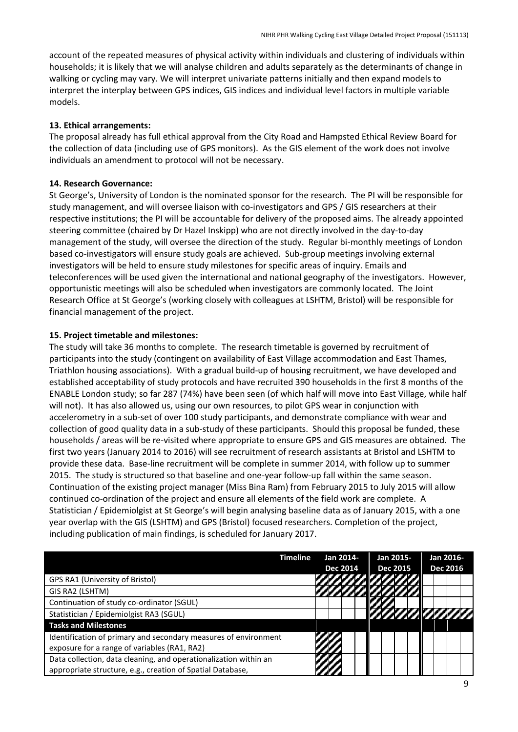account of the repeated measures of physical activity within individuals and clustering of individuals within households; it is likely that we will analyse children and adults separately as the determinants of change in walking or cycling may vary. We will interpret univariate patterns initially and then expand models to interpret the interplay between GPS indices, GIS indices and individual level factors in multiple variable models.

# **13. Ethical arrangements:**

The proposal already has full ethical approval from the City Road and Hampsted Ethical Review Board for the collection of data (including use of GPS monitors). As the GIS element of the work does not involve individuals an amendment to protocol will not be necessary.

# **14. Research Governance:**

St George's, University of London is the nominated sponsor for the research. The PI will be responsible for study management, and will oversee liaison with co-investigators and GPS / GIS researchers at their respective institutions; the PI will be accountable for delivery of the proposed aims. The already appointed steering committee (chaired by Dr Hazel Inskipp) who are not directly involved in the day-to-day management of the study, will oversee the direction of the study. Regular bi-monthly meetings of London based co-investigators will ensure study goals are achieved. Sub-group meetings involving external investigators will be held to ensure study milestones for specific areas of inquiry. Emails and teleconferences will be used given the international and national geography of the investigators. However, opportunistic meetings will also be scheduled when investigators are commonly located. The Joint Research Office at St George's (working closely with colleagues at LSHTM, Bristol) will be responsible for financial management of the project.

# **15. Project timetable and milestones:**

The study will take 36 months to complete. The research timetable is governed by recruitment of participants into the study (contingent on availability of East Village accommodation and East Thames, Triathlon housing associations). With a gradual build-up of housing recruitment, we have developed and established acceptability of study protocols and have recruited 390 households in the first 8 months of the ENABLE London study; so far 287 (74%) have been seen (of which half will move into East Village, while half will not). It has also allowed us, using our own resources, to pilot GPS wear in conjunction with accelerometry in a sub-set of over 100 study participants, and demonstrate compliance with wear and collection of good quality data in a sub-study of these participants. Should this proposal be funded, these households / areas will be re-visited where appropriate to ensure GPS and GIS measures are obtained. The first two years (January 2014 to 2016) will see recruitment of research assistants at Bristol and LSHTM to provide these data. Base-line recruitment will be complete in summer 2014, with follow up to summer 2015. The study is structured so that baseline and one-year follow-up fall within the same season. Continuation of the existing project manager (Miss Bina Ram) from February 2015 to July 2015 will allow continued co-ordination of the project and ensure all elements of the field work are complete. A Statistician / Epidemiolgist at St George's will begin analysing baseline data as of January 2015, with a one year overlap with the GIS (LSHTM) and GPS (Bristol) focused researchers. Completion of the project, including publication of main findings, is scheduled for January 2017.

|                                                                  | <b>Timeline</b> | Jan 2014-<br><b>Dec 2014</b><br><i><b>VINIMARIA</b></i> |  |  | Jan 2015-       |  |  |  | Jan 2016- |                 |  |  |                            |
|------------------------------------------------------------------|-----------------|---------------------------------------------------------|--|--|-----------------|--|--|--|-----------|-----------------|--|--|----------------------------|
|                                                                  |                 |                                                         |  |  | <b>Dec 2015</b> |  |  |  |           | <b>Dec 2016</b> |  |  |                            |
| GPS RA1 (University of Bristol)                                  |                 |                                                         |  |  |                 |  |  |  |           |                 |  |  |                            |
| GIS RA2 (LSHTM)                                                  |                 | <i><b>TITIONALITIITI</b></i>                            |  |  |                 |  |  |  |           |                 |  |  |                            |
| Continuation of study co-ordinator (SGUL)                        |                 |                                                         |  |  |                 |  |  |  |           |                 |  |  |                            |
| Statistician / Epidemiolgist RA3 (SGUL)                          |                 |                                                         |  |  |                 |  |  |  |           |                 |  |  | <i><b>TATALOGICALE</b></i> |
| <b>Tasks and Milestones</b>                                      |                 |                                                         |  |  |                 |  |  |  |           |                 |  |  |                            |
| Identification of primary and secondary measures of environment  |                 |                                                         |  |  |                 |  |  |  |           |                 |  |  |                            |
| exposure for a range of variables (RA1, RA2)                     |                 |                                                         |  |  |                 |  |  |  |           |                 |  |  |                            |
| Data collection, data cleaning, and operationalization within an |                 |                                                         |  |  |                 |  |  |  |           |                 |  |  |                            |
| appropriate structure, e.g., creation of Spatial Database,       |                 |                                                         |  |  |                 |  |  |  |           |                 |  |  |                            |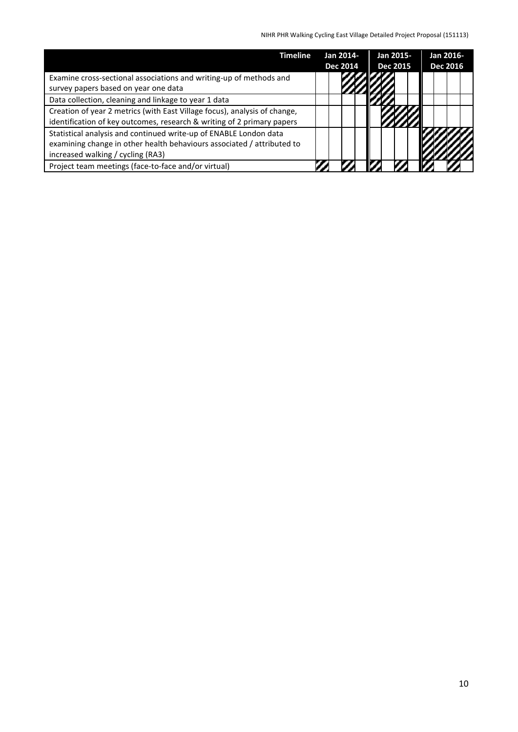| <b>Timeline</b>                                                           | Jan 2014-       |  |  |  |  |  |  | Jan 2015- |  |  | Jan 2016- |  |  |  |  |  |  |  |  |  |  |                 |  |  |                 |  |  |
|---------------------------------------------------------------------------|-----------------|--|--|--|--|--|--|-----------|--|--|-----------|--|--|--|--|--|--|--|--|--|--|-----------------|--|--|-----------------|--|--|
|                                                                           | <b>Dec 2014</b> |  |  |  |  |  |  |           |  |  |           |  |  |  |  |  |  |  |  |  |  | <b>Dec 2015</b> |  |  | <b>Dec 2016</b> |  |  |
| Examine cross-sectional associations and writing-up of methods and        |                 |  |  |  |  |  |  |           |  |  |           |  |  |  |  |  |  |  |  |  |  |                 |  |  |                 |  |  |
| survey papers based on year one data                                      |                 |  |  |  |  |  |  |           |  |  |           |  |  |  |  |  |  |  |  |  |  |                 |  |  |                 |  |  |
| Data collection, cleaning and linkage to year 1 data                      |                 |  |  |  |  |  |  |           |  |  |           |  |  |  |  |  |  |  |  |  |  |                 |  |  |                 |  |  |
| Creation of year 2 metrics (with East Village focus), analysis of change, |                 |  |  |  |  |  |  |           |  |  |           |  |  |  |  |  |  |  |  |  |  |                 |  |  |                 |  |  |
| identification of key outcomes, research & writing of 2 primary papers    |                 |  |  |  |  |  |  |           |  |  |           |  |  |  |  |  |  |  |  |  |  |                 |  |  |                 |  |  |
| Statistical analysis and continued write-up of ENABLE London data         |                 |  |  |  |  |  |  |           |  |  |           |  |  |  |  |  |  |  |  |  |  |                 |  |  |                 |  |  |
| examining change in other health behaviours associated / attributed to    |                 |  |  |  |  |  |  |           |  |  |           |  |  |  |  |  |  |  |  |  |  |                 |  |  |                 |  |  |
| increased walking / cycling (RA3)                                         |                 |  |  |  |  |  |  |           |  |  |           |  |  |  |  |  |  |  |  |  |  |                 |  |  |                 |  |  |
| Project team meetings (face-to-face and/or virtual)                       |                 |  |  |  |  |  |  |           |  |  |           |  |  |  |  |  |  |  |  |  |  |                 |  |  |                 |  |  |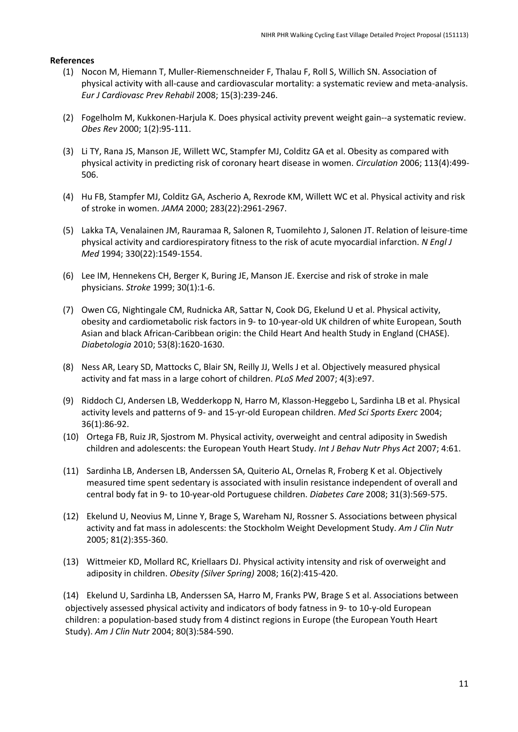#### **References**

- (1) Nocon M, Hiemann T, Muller-Riemenschneider F, Thalau F, Roll S, Willich SN. Association of physical activity with all-cause and cardiovascular mortality: a systematic review and meta-analysis. *Eur J Cardiovasc Prev Rehabil* 2008; 15(3):239-246.
- (2) Fogelholm M, Kukkonen-H[arjula K. Does physical activity prev](http://www.farrellreview.co.uk/)ent weight gain--a systematic review. *Obes Rev* 2000; 1(2):95-111.
- (3) Li TY, Rana JS, Manson JE, Willett WC, Stampfer MJ, Colditz GA et al. Obesity as compared with physical activity in predicting risk of coronary heart disease in women. *Circulation* 2006; 113(4):499- 506.
- (4) Hu FB, Stampfer MJ, Colditz GA, Ascherio A, Rexrode KM, Willett WC et al. Physical activity and risk of stroke in women. *JAMA* 2000; 283(22):2961-2967.
- (5) Lakka TA, Venalainen JM, Rauramaa R, Salonen R, Tuomilehto J, Salonen JT. Relation of leisure-time physical activity and cardiorespiratory fitness to the risk of acute myocardial infarction. *N Engl J Med* 1994; 330(22):1549-1554.
- (6) Lee IM, Hennekens CH, Berger K, Buring JE, Manson JE. Exercise and risk of stroke in male physicians. *Stroke* 1999; 30(1):1-6.
- (7) Owen CG, Nightingale CM, Rudnicka AR, Sattar N, Cook DG, Ekelund U et al. Physical activity, obesity and cardiometabolic risk factors in 9- to 10-year-old UK children of white European, South Asian and black African-Caribbean origin: the Child Heart And health Study in England (CHASE). *Diabetologia* 2010; 53(8):1620-1630.
- (8) Ness AR, Leary SD, Mattocks C, Blair SN, Reilly JJ, Wells J et al. Objectively measured physical activity and fat mass in a large cohort of children. *PLoS Med* 2007; 4(3):e97.
- (9) Riddoch CJ, Andersen LB, Wedderkopp N, Harro M, Klasson-Heggebo L, Sardinha LB et al. Physical activity levels and patterns of 9- and 15-yr-old European children. *Med Sci Sports Exerc* 2004; 36(1):86-92.
- (10) Ortega FB, Ruiz JR, Sjostrom M. Physical activity, overweight and central adiposity in Swedish children and adolescents: the European Youth Heart Study. *Int J Behav Nutr Phys Act* 2007; 4:61.
- (11) Sardinha LB, Andersen LB, Anderssen SA, Quiterio AL, Ornelas R, Froberg K et al. Objectively measured time spent sedentary is associated with insulin resistance independent of overall and central body fat in 9- to 10-year-old Portuguese children. *Diabetes Care* 2008; 31(3):569-575.
- (12) Ekelund U, Neovius M, Linne Y, Brage S, Wareham NJ, Rossner S. Associations between physical activity and fat mass in adolescents: the Stockholm Weight Development Study. *Am J Clin Nutr* 2005; 81(2):355-360.
- (13) Wittmeier KD, Mollard RC, Kriellaars DJ. Physical activity intensity and risk of overweight and adiposity in children. *Obesity (Silver Spring)* 2008; 16(2):415-420.

(14) Ekelund U, Sardinha LB, Anderssen SA, Harro M, Franks PW, Brage S et al. Associations between objectively assessed physical activity and indicators of body fatness in 9- to 10-y-old European children: a population-based study from 4 distinct regions in Europe (the European Youth Heart Study). *Am J Clin Nutr* 2004; 80(3):584-590.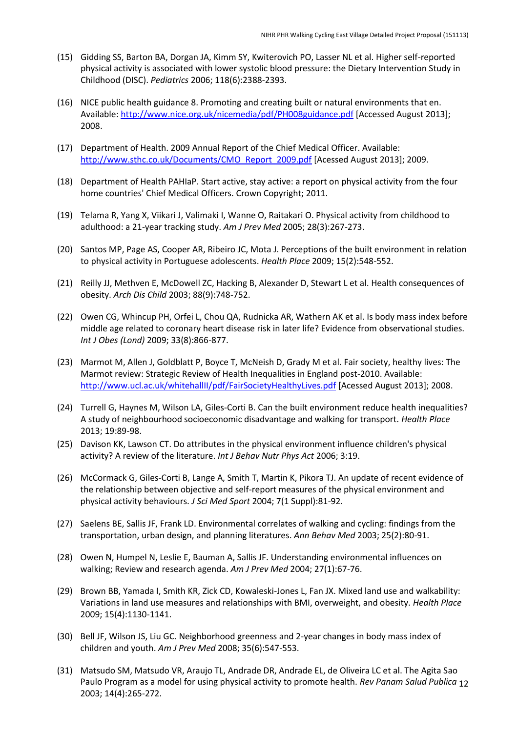- (15) Gidding SS, Barton BA, Dorgan JA, Kimm SY, Kwiterovich PO, Lasser NL et al. Higher self-reported physical activity is associated with lower systolic blood pressure: the Dietary Intervention Study in Childhood (DISC). *Pediatrics* 2006; 118(6):2388-2393.
- (16) NICE public health guidance 8. Promoting and creating built or natural environments that en. Available: http://www.nice.org.uk/nicemedia/pdf/PH008guidance.pdf [Accessed August 2013]; 2008.
- (17) Department of Health. 2009 Annual Report of the Chief Medical Officer. Available: http://www.sthc.co.uk/Documents/CMO\_Report\_2009.pdf [Acessed August 2013]; 2009.
- (18) Department of Health PAHIaP. Start active, stay active: a report on physical activity from the four home countries' Chief Medical Officers. Crown Copyright; 2011.
- (19) Telama R, Yang X, Viikari J, Valimaki I, Wanne O, Raitakari O. Physical activity from childhood to adulthood: a 21-year tracking study. *Am J Prev Med* 2005; 28(3):267-273.
- (20) Santos MP, Page AS, Cooper AR, Ribeiro JC, Mota J. Perceptions of the built environment in relation to physical activity in Portuguese adolescents. *Health Place* 2009; 15(2):548-552.
- (21) Reilly JJ, Methven E, McDowell ZC, Hacking B, Alexander D, Stewart L et al. Health consequences of obesity. *Arch Dis Child* 2003; 88(9):748-752.
- (22) Owen CG, Whincup PH, Orfei L, Chou QA, Rudnicka AR, Wathern AK et al. Is body mass index before middle ag[e related to coronary heart disease risk in later life? Evidence](http://www.nice.org.uk/nicemedia/pdf/PH008guidance.pdf) from observational studies. *Int J Obes (Lond)* 2009; 33(8):866-877.
- (23) Marmot M, Allen J, Goldblatt P, Boyce T, McNeish D, Grady M et al. Fair society, healthy lives: The [Marmot review: Strategic Review of Health Inequalities in En](http://www.sthc.co.uk/Documents/CMO_Report_2009.pdf)gland post-2010. Available: http://www.ucl.ac.uk/whitehallII/pdf/FairSocietyHealthyLives.pdf [Acessed August 2013]; 2008.
- (24) Turrell G, Haynes M, Wilson LA, Giles-Corti B. Can the built environment reduce health inequalities? A study of neighbourhood socioeconomic disadvantage and walking for transport. *Health Place* 2013; 19:89-98.
- (25) Davison KK, Lawson CT. Do attributes in the physical environment influence children's physical activity? A review of the literature. *Int J Behav Nutr Phys Act* 2006; 3:19.
- (26) McCormack G, Giles-Corti B, Lange A, Smith T, Martin K, Pikora TJ. An update of recent evidence of the relationship between objective and self-report measures of the physical environment and physical activity behaviours. *J Sci Med Sport* 2004; 7(1 Suppl):81-92.
- (27) Saelens BE, Sallis JF, Frank LD. Environmental correlates of walking and cycling: findings from the transportation, urban design, and planning literatures. *Ann Behav Med* 2003; 25(2):80-91.
- (28) Owen N, Humpel N, Leslie E, Bauman A, Sallis JF. Understanding environmental influences on walking; Review and research agenda. *Am J Prev Med* 2004; 27(1):67-76.
- (29) Brown BB, Yamada I, Smith KR, Zick CD, Kowaleski-Jones L, Fan JX. Mixed land use and walkability: [Variations in land use measures and relationships with BMI, overw](http://www.ucl.ac.uk/whitehallII/pdf/FairSocietyHealthyLives.pdf)eight, and obesity. *Health Place* 2009; 15(4):1130-1141.
- (30) Bell JF, Wilson JS, Liu GC. Neighborhood greenness and 2-year changes in body mass index of children and youth. *Am J Prev Med* 2008; 35(6):547-553.
- Paulo Program as a model for using physical activity to promote health. *Rev Panam Salud Publica* 12 (31) Matsudo SM, Matsudo VR, Araujo TL, Andrade DR, Andrade EL, de Oliveira LC et al. The Agita Sao 2003; 14(4):265-272.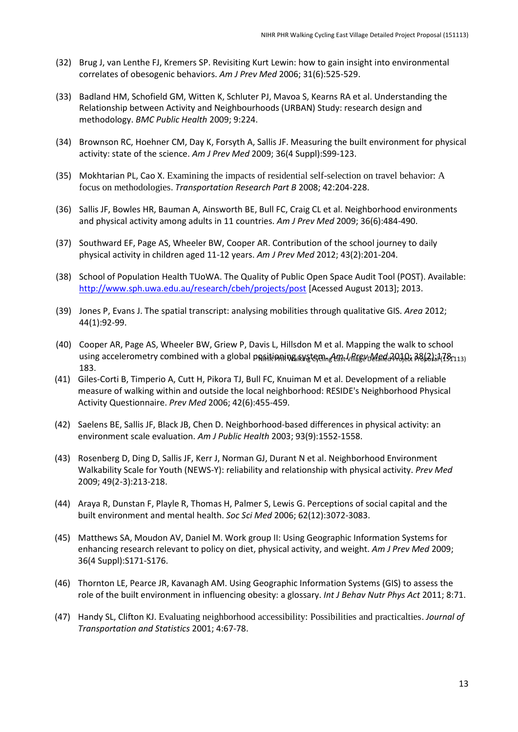- (32) Brug J, van Lenthe FJ, Kremers SP. Revisiting Kurt Lewin: how to gain insight into environmental correlates of obesogenic behaviors. *Am J Prev Med* 2006; 31(6):525-529.
- (33) Badland HM, Schofield GM, Witten K, Schluter PJ, Mavoa S, Kearns RA et al. Understanding the Relationship between Activity and Neighbourhoods (URBAN) Study: research design and methodology. *BMC Public Health* 2009; 9:224.
- (34) Brownson RC, Hoehner CM, Day K, Forsyth A, Sallis JF. Measuring the built environment for physical activity: state of the science. *Am J Prev Med* 2009; 36(4 Suppl):S99-123.
- (35) Mokhtarian PL, Cao X. Examining the impacts of residential self-selection on travel behavior: A focus on methodologies. *Transportation Research Part B* 2008; 42:204-228.
- (36) Sallis JF, Bowles HR, Bauman A, Ainsworth BE, Bull FC, Craig CL et al. Neighborhood environments and physical activity among adults in 11 countries. *Am J Prev Med* 2009; 36(6):484-490.
- (37) Southward EF, Page AS, Wheeler BW, Cooper AR. Contribution of the school journey to daily physical activity in children aged 11-12 years. *Am J Prev Med* 2012; 43(2):201-204.
- (38) School of Population Health TUoWA. The Quality of Public Open Space Audit Tool (POST). Available: http://www.sph.uwa.edu.au/research/cbeh/projects/post [Acessed August 2013]; 2013.
- (39) Jones P, Evans J. The spatial transcript: analysing mobilities through qualitative GIS. *Area* 2012; 44(1):92-99.
- (40) Cooper AR, Page AS, Wheeler BW, Griew P, Davis L, Hillsdon M et al. Mapping the walk to school using accelerometry combined with a global pดูกitiดุกเหน<sub>็</sub>และรูป ในการ 2010 ในสต*่อ 2010* เวลา 3 ในปี 20113) 183.
- (41) Giles-Corti B, Timperio A, Cutt H, Pikora TJ, Bull FC, Knuiman M et al. Development of a reliable measure of walking within and outside the local neighborhood: RESIDE's Neighborhood Physical Activity Questionnaire. *Prev Med* 2006; 42(6):455-459.
- (42) Saelens BE, Sallis JF, Black JB, Chen D. Neighborhood-based differences in physical activity: an environment scale evaluation. *Am J Public Health* 2003; 93(9):1552-1558.
- (43) Rosenberg D, Ding D, Sallis JF, Kerr J, Norman GJ, Durant N et al. Neighborhood Environment Walkability Scale for Youth (NEWS-Y): reliability and relationship with physical activity. *Prev Med* 2009; 49(2-3):213-218.
- (44) Araya R, Dunstan F, Playle R, Thomas H, Palmer S, Lewis G. Perceptions of social capital and the built environment and mental health. *Soc Sci Med* 2006; 62(12):3072-3083.
- (45) Matthews SA, Moudon AV, Daniel M. Work group II: Using Geographic Information Systems for [enhancing research relevant to policy on diet, physical activ](http://www.sph.uwa.edu.au/research/cbeh/projects/post)ity, and weight. *Am J Prev Med* 2009; 36(4 Suppl):S171-S176.
- (46) Thornton LE, Pearce JR, Kavanagh AM. Using Geographic Information Systems (GIS) to assess the role of the built environment in influencing obesity: a glossary. *Int J Behav Nutr Phys Act* 2011; 8:71.
- (47) Handy SL, Clifton KJ. Evaluating neighborhood accessibility: Possibilities and practicalties. *Journal of Transportation and Statistics* 2001; 4:67-78.